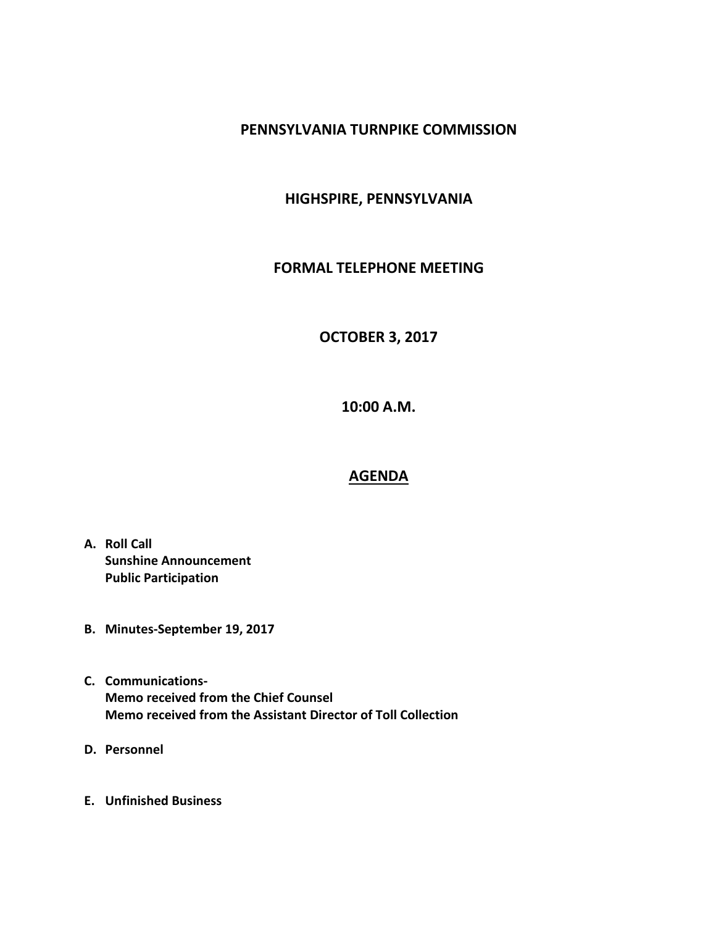# **PENNSYLVANIA TURNPIKE COMMISSION**

# **HIGHSPIRE, PENNSYLVANIA**

### **FORMAL TELEPHONE MEETING**

# **OCTOBER 3, 2017**

**10:00 A.M.**

#### **AGENDA**

- **A. Roll Call Sunshine Announcement Public Participation**
- **B. Minutes-September 19, 2017**
- **C. Communications-Memo received from the Chief Counsel Memo received from the Assistant Director of Toll Collection**
- **D. Personnel**
- **E. Unfinished Business**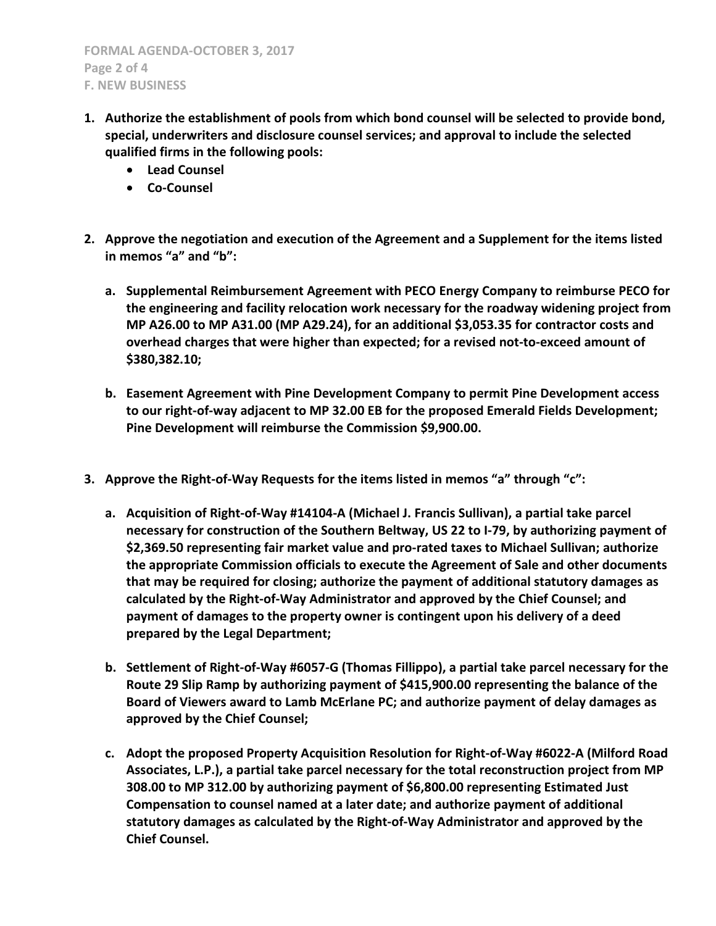- **1. Authorize the establishment of pools from which bond counsel will be selected to provide bond, special, underwriters and disclosure counsel services; and approval to include the selected qualified firms in the following pools:**
	- **Lead Counsel**
	- **Co-Counsel**
- **2. Approve the negotiation and execution of the Agreement and a Supplement for the items listed in memos "a" and "b":**
	- **a. Supplemental Reimbursement Agreement with PECO Energy Company to reimburse PECO for the engineering and facility relocation work necessary for the roadway widening project from MP A26.00 to MP A31.00 (MP A29.24), for an additional \$3,053.35 for contractor costs and overhead charges that were higher than expected; for a revised not-to-exceed amount of \$380,382.10;**
	- **b. Easement Agreement with Pine Development Company to permit Pine Development access to our right-of-way adjacent to MP 32.00 EB for the proposed Emerald Fields Development; Pine Development will reimburse the Commission \$9,900.00.**
- **3. Approve the Right-of-Way Requests for the items listed in memos "a" through "c":**
	- **a. Acquisition of Right-of-Way #14104-A (Michael J. Francis Sullivan), a partial take parcel necessary for construction of the Southern Beltway, US 22 to I-79, by authorizing payment of \$2,369.50 representing fair market value and pro-rated taxes to Michael Sullivan; authorize the appropriate Commission officials to execute the Agreement of Sale and other documents that may be required for closing; authorize the payment of additional statutory damages as calculated by the Right-of-Way Administrator and approved by the Chief Counsel; and payment of damages to the property owner is contingent upon his delivery of a deed prepared by the Legal Department;**
	- **b. Settlement of Right-of-Way #6057-G (Thomas Fillippo), a partial take parcel necessary for the Route 29 Slip Ramp by authorizing payment of \$415,900.00 representing the balance of the Board of Viewers award to Lamb McErlane PC; and authorize payment of delay damages as approved by the Chief Counsel;**
	- **c. Adopt the proposed Property Acquisition Resolution for Right-of-Way #6022-A (Milford Road Associates, L.P.), a partial take parcel necessary for the total reconstruction project from MP 308.00 to MP 312.00 by authorizing payment of \$6,800.00 representing Estimated Just Compensation to counsel named at a later date; and authorize payment of additional statutory damages as calculated by the Right-of-Way Administrator and approved by the Chief Counsel.**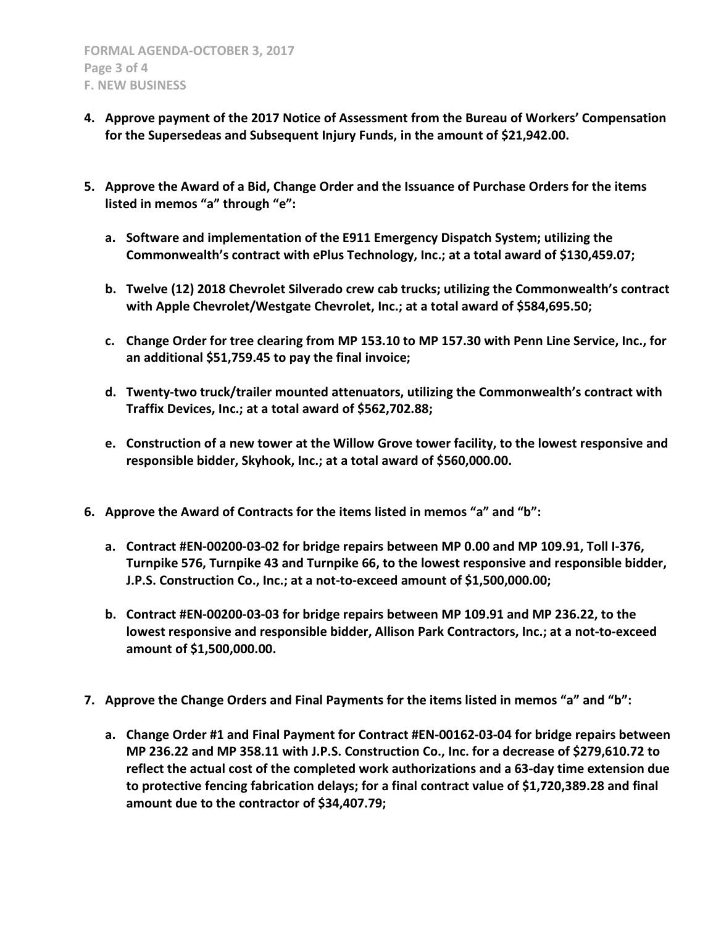- **4. Approve payment of the 2017 Notice of Assessment from the Bureau of Workers' Compensation for the Supersedeas and Subsequent Injury Funds, in the amount of \$21,942.00.**
- **5. Approve the Award of a Bid, Change Order and the Issuance of Purchase Orders for the items listed in memos "a" through "e":**
	- **a. Software and implementation of the E911 Emergency Dispatch System; utilizing the Commonwealth's contract with ePlus Technology, Inc.; at a total award of \$130,459.07;**
	- **b. Twelve (12) 2018 Chevrolet Silverado crew cab trucks; utilizing the Commonwealth's contract with Apple Chevrolet/Westgate Chevrolet, Inc.; at a total award of \$584,695.50;**
	- **c. Change Order for tree clearing from MP 153.10 to MP 157.30 with Penn Line Service, Inc., for an additional \$51,759.45 to pay the final invoice;**
	- **d. Twenty-two truck/trailer mounted attenuators, utilizing the Commonwealth's contract with Traffix Devices, Inc.; at a total award of \$562,702.88;**
	- **e. Construction of a new tower at the Willow Grove tower facility, to the lowest responsive and responsible bidder, Skyhook, Inc.; at a total award of \$560,000.00.**
- **6. Approve the Award of Contracts for the items listed in memos "a" and "b":**
	- **a. Contract #EN-00200-03-02 for bridge repairs between MP 0.00 and MP 109.91, Toll I-376, Turnpike 576, Turnpike 43 and Turnpike 66, to the lowest responsive and responsible bidder, J.P.S. Construction Co., Inc.; at a not-to-exceed amount of \$1,500,000.00;**
	- **b. Contract #EN-00200-03-03 for bridge repairs between MP 109.91 and MP 236.22, to the lowest responsive and responsible bidder, Allison Park Contractors, Inc.; at a not-to-exceed amount of \$1,500,000.00.**
- **7. Approve the Change Orders and Final Payments for the items listed in memos "a" and "b":**
	- **a. Change Order #1 and Final Payment for Contract #EN-00162-03-04 for bridge repairs between MP 236.22 and MP 358.11 with J.P.S. Construction Co., Inc. for a decrease of \$279,610.72 to reflect the actual cost of the completed work authorizations and a 63-day time extension due to protective fencing fabrication delays; for a final contract value of \$1,720,389.28 and final amount due to the contractor of \$34,407.79;**